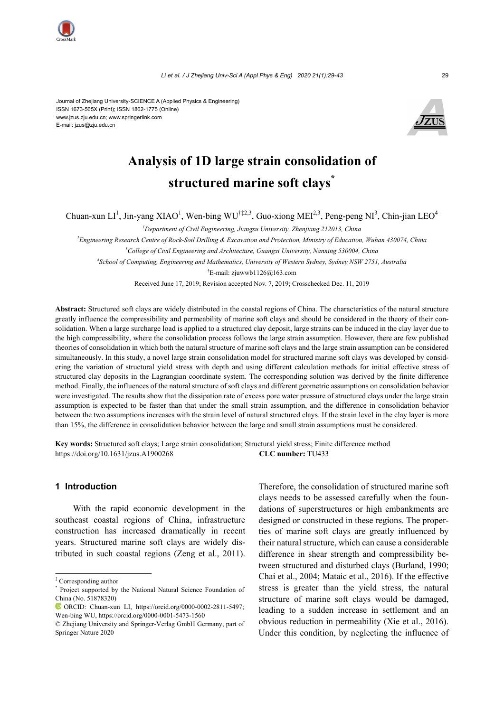

Journal of Zhejiang University-SCIENCE A (Applied Physics & Engineering) ISSN 1673-565X (Print); ISSN 1862-1775 (Online) www.jzus.zju.edu.cn; www.springerlink.com E-mail: jzus@zju.edu.cn



# **Analysis of 1D large strain consolidation of structured marine soft clays\***

Chuan-xun LI<sup>1</sup>, Jin-yang XIAO<sup>1</sup>, Wen-bing WU<sup>†‡2,3</sup>, Guo-xiong MEI<sup>2,3</sup>, Peng-peng NI<sup>3</sup>, Chin-jian LEO<sup>4</sup>

*1 Department of Civil Engineering, Jiangsu University, Zhenjiang 212013, China* 

*2 Engineering Research Centre of Rock-Soil Drilling & Excavation and Protection, Ministry of Education, Wuhan 430074, China 3 College of Civil Engineering and Architecture, Guangxi University, Nanning 530004, China 4 School of Computing, Engineering and Mathematics, University of Western Sydney, Sydney NSW 2751, Australia* 

† E-mail: zjuwwb1126@163.com

Received June 17, 2019; Revision accepted Nov. 7, 2019; Crosschecked Dec. 11, 2019

**Abstract:** Structured soft clays are widely distributed in the coastal regions of China. The characteristics of the natural structure greatly influence the compressibility and permeability of marine soft clays and should be considered in the theory of their consolidation. When a large surcharge load is applied to a structured clay deposit, large strains can be induced in the clay layer due to the high compressibility, where the consolidation process follows the large strain assumption. However, there are few published theories of consolidation in which both the natural structure of marine soft clays and the large strain assumption can be considered simultaneously. In this study, a novel large strain consolidation model for structured marine soft clays was developed by considering the variation of structural yield stress with depth and using different calculation methods for initial effective stress of structured clay deposits in the Lagrangian coordinate system. The corresponding solution was derived by the finite difference method. Finally, the influences of the natural structure of soft clays and different geometric assumptions on consolidation behavior were investigated. The results show that the dissipation rate of excess pore water pressure of structured clays under the large strain assumption is expected to be faster than that under the small strain assumption, and the difference in consolidation behavior between the two assumptions increases with the strain level of natural structured clays. If the strain level in the clay layer is more than 15%, the difference in consolidation behavior between the large and small strain assumptions must be considered.

**Key words:** Structured soft clays; Large strain consolidation; Structural yield stress; Finite difference method https://doi.org/10.1631/jzus.A1900268 **CLC number:** TU433

## **1 Introduction**

With the rapid economic development in the southeast coastal regions of China, infrastructure construction has increased dramatically in recent years. Structured marine soft clays are widely distributed in such coastal regions (Zeng et al., 2011).

Therefore, the consolidation of structured marine soft clays needs to be assessed carefully when the foundations of superstructures or high embankments are designed or constructed in these regions. The properties of marine soft clays are greatly influenced by their natural structure, which can cause a considerable difference in shear strength and compressibility between structured and disturbed clays (Burland, 1990; Chai et al., 2004; Mataic et al., 2016). If the effective stress is greater than the yield stress, the natural structure of marine soft clays would be damaged, leading to a sudden increase in settlement and an obvious reduction in permeability (Xie et al., 2016). Under this condition, by neglecting the influence of

<sup>‡</sup> Corresponding author

<sup>\*</sup> Project supported by the National Natural Science Foundation of China (No. 51878320)

ORCID: Chuan-xun LI, https://orcid.org/0000-0002-2811-5497; Wen-bing WU, https://orcid.org/0000-0001-5473-1560

<sup>©</sup> Zhejiang University and Springer-Verlag GmbH Germany, part of Springer Nature 2020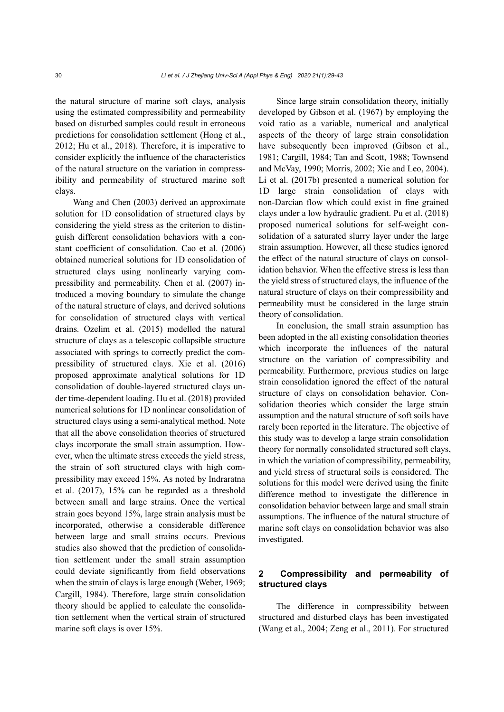the natural structure of marine soft clays, analysis using the estimated compressibility and permeability based on disturbed samples could result in erroneous predictions for consolidation settlement (Hong et al., 2012; Hu et al., 2018). Therefore, it is imperative to consider explicitly the influence of the characteristics of the natural structure on the variation in compressibility and permeability of structured marine soft clays.

Wang and Chen (2003) derived an approximate solution for 1D consolidation of structured clays by considering the yield stress as the criterion to distinguish different consolidation behaviors with a constant coefficient of consolidation. Cao et al. (2006) obtained numerical solutions for 1D consolidation of structured clays using nonlinearly varying compressibility and permeability. Chen et al. (2007) introduced a moving boundary to simulate the change of the natural structure of clays, and derived solutions for consolidation of structured clays with vertical drains. Ozelim et al. (2015) modelled the natural structure of clays as a telescopic collapsible structure associated with springs to correctly predict the compressibility of structured clays. Xie et al. (2016) proposed approximate analytical solutions for 1D consolidation of double-layered structured clays under time-dependent loading. Hu et al. (2018) provided numerical solutions for 1D nonlinear consolidation of structured clays using a semi-analytical method. Note that all the above consolidation theories of structured clays incorporate the small strain assumption. However, when the ultimate stress exceeds the yield stress, the strain of soft structured clays with high compressibility may exceed 15%. As noted by Indraratna et al. (2017), 15% can be regarded as a threshold between small and large strains. Once the vertical strain goes beyond 15%, large strain analysis must be incorporated, otherwise a considerable difference between large and small strains occurs. Previous studies also showed that the prediction of consolidation settlement under the small strain assumption could deviate significantly from field observations when the strain of clays is large enough (Weber, 1969; Cargill, 1984). Therefore, large strain consolidation theory should be applied to calculate the consolidation settlement when the vertical strain of structured marine soft clays is over 15%.

Since large strain consolidation theory, initially developed by Gibson et al. (1967) by employing the void ratio as a variable, numerical and analytical aspects of the theory of large strain consolidation have subsequently been improved (Gibson et al., 1981; Cargill, 1984; Tan and Scott, 1988; Townsend and McVay, 1990; Morris, 2002; Xie and Leo, 2004). Li et al. (2017b) presented a numerical solution for 1D large strain consolidation of clays with non-Darcian flow which could exist in fine grained clays under a low hydraulic gradient. Pu et al. (2018) proposed numerical solutions for self-weight consolidation of a saturated slurry layer under the large strain assumption. However, all these studies ignored the effect of the natural structure of clays on consolidation behavior. When the effective stress is less than the yield stress of structured clays, the influence of the natural structure of clays on their compressibility and permeability must be considered in the large strain theory of consolidation.

In conclusion, the small strain assumption has been adopted in the all existing consolidation theories which incorporate the influences of the natural structure on the variation of compressibility and permeability. Furthermore, previous studies on large strain consolidation ignored the effect of the natural structure of clays on consolidation behavior. Consolidation theories which consider the large strain assumption and the natural structure of soft soils have rarely been reported in the literature. The objective of this study was to develop a large strain consolidation theory for normally consolidated structured soft clays, in which the variation of compressibility, permeability, and yield stress of structural soils is considered. The solutions for this model were derived using the finite difference method to investigate the difference in consolidation behavior between large and small strain assumptions. The influence of the natural structure of marine soft clays on consolidation behavior was also investigated.

# **2 Compressibility and permeability of structured clays**

The difference in compressibility between structured and disturbed clays has been investigated (Wang et al., 2004; Zeng et al., 2011). For structured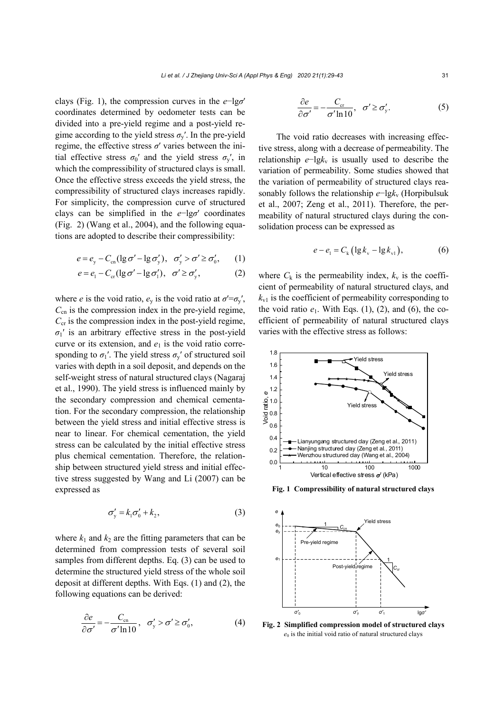clays (Fig. 1), the compression curves in the *e*−lg*σ*′ coordinates determined by oedometer tests can be divided into a pre-yield regime and a post-yield regime according to the yield stress  $\sigma_{v}$ <sup>'</sup>. In the pre-yield regime, the effective stress *σ*′ varies between the initial effective stress  $\sigma_0'$  and the yield stress  $\sigma_y'$ , in which the compressibility of structured clays is small. Once the effective stress exceeds the yield stress, the compressibility of structured clays increases rapidly. For simplicity, the compression curve of structured clays can be simplified in the *e*−lg*σ*′ coordinates (Fig. 2) (Wang et al., 2004), and the following equations are adopted to describe their compressibility:

$$
e = e_y - C_{cn} (\lg \sigma' - \lg \sigma'_y), \quad \sigma'_y > \sigma' \ge \sigma'_0, \qquad (1)
$$

$$
e = e_1 - C_{\rm cr} (\lg \sigma' - \lg \sigma'_1), \quad \sigma' \ge \sigma'_y,\tag{2}
$$

where *e* is the void ratio,  $e_y$  is the void ratio at  $\sigma' = \sigma_y'$ ,  $C_{cn}$  is the compression index in the pre-yield regime,  $C_{cr}$  is the compression index in the post-yield regime, *σ*1′ is an arbitrary effective stress in the post-yield curve or its extension, and  $e_1$  is the void ratio corresponding to  $\sigma_1'$ . The yield stress  $\sigma_y'$  of structured soil varies with depth in a soil deposit, and depends on the self-weight stress of natural structured clays (Nagaraj et al., 1990). The yield stress is influenced mainly by the secondary compression and chemical cementation. For the secondary compression, the relationship between the yield stress and initial effective stress is near to linear. For chemical cementation, the yield stress can be calculated by the initial effective stress plus chemical cementation. Therefore, the relationship between structured yield stress and initial effective stress suggested by Wang and Li (2007) can be expressed as

$$
\sigma'_{y} = k_1 \sigma'_{0} + k_2, \tag{3}
$$

where  $k_1$  and  $k_2$  are the fitting parameters that can be determined from compression tests of several soil samples from different depths. Eq. (3) can be used to determine the structured yield stress of the whole soil deposit at different depths. With Eqs. (1) and (2), the following equations can be derived:

$$
\frac{\partial e}{\partial \sigma'} = -\frac{C_{\text{cn}}}{\sigma' \ln 10}, \quad \sigma'_{y} > \sigma' \ge \sigma'_{0},\tag{4}
$$

$$
\frac{\partial e}{\partial \sigma'} = -\frac{C_{\text{cr}}}{\sigma' \ln 10}, \quad \sigma' \ge \sigma'_y. \tag{5}
$$

The void ratio decreases with increasing effective stress, along with a decrease of permeability. The relationship *e*−lg*k*v is usually used to describe the variation of permeability. Some studies showed that the variation of permeability of structured clays reasonably follows the relationship *e*−lg $k$ <sub>v</sub> (Horpibulsuk et al., 2007; Zeng et al., 2011). Therefore, the permeability of natural structured clays during the consolidation process can be expressed as

$$
e - e_1 = C_k \left( \lg k_{\rm v} - \lg k_{\rm v1} \right),\tag{6}
$$

where  $C_k$  is the permeability index,  $k_v$  is the coefficient of permeability of natural structured clays, and  $k_{v1}$  is the coefficient of permeability corresponding to the void ratio  $e_1$ . With Eqs.  $(1)$ ,  $(2)$ , and  $(6)$ , the coefficient of permeability of natural structured clays varies with the effective stress as follows:



**Fig. 1 Compressibility of natural structured clays** 



**Fig. 2 Simplified compression model of structured clays**  $e_0$  is the initial void ratio of natural structured clays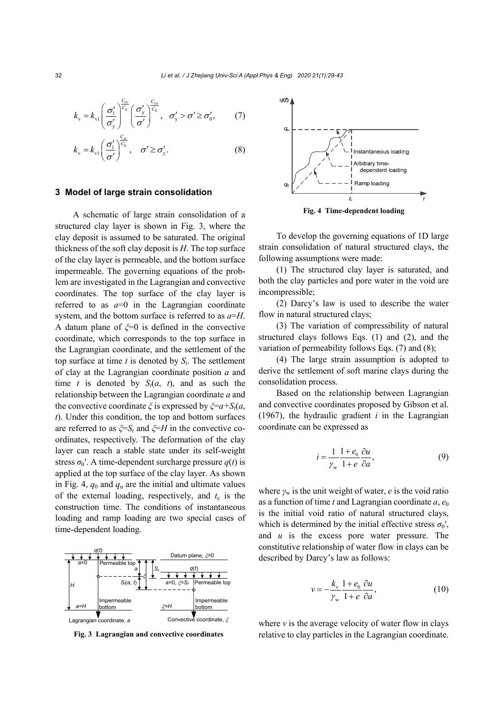$$
k_{\rm v} = k_{\rm v1} \left( \frac{\sigma_1'}{\sigma_2'} \right)^{\frac{C_{\rm cr}}{C_{\rm k}}} \left( \frac{\sigma_2'}{\sigma'} \right)^{\frac{C_{\rm cn}}{C_{\rm k}}}, \quad \sigma_2' > \sigma' \ge \sigma_0', \tag{7}
$$

$$
k_{\rm v} = k_{\rm vl} \left( \frac{\sigma_1'}{\sigma'} \right)^{\frac{C_{\rm cr}}{C_{\rm k}}}, \quad \sigma' \ge \sigma_{\rm y}'. \tag{8}
$$

#### **3 Model of large strain consolidation**

A schematic of large strain consolidation of a structured clay layer is shown in Fig. 3, where the clay deposit is assumed to be saturated. The original thickness of the soft clay deposit is *H*. The top surface of the clay layer is permeable, and the bottom surface impermeable. The governing equations of the problem are investigated in the Lagrangian and convective coordinates. The top surface of the clay layer is referred to as  $a=0$  in the Lagrangian coordinate system, and the bottom surface is referred to as *a*=*H*. A datum plane of *ξ*=0 is defined in the convective coordinate, which corresponds to the top surface in the Lagrangian coordinate, and the settlement of the top surface at time  $t$  is denoted by  $S_t$ . The settlement of clay at the Lagrangian coordinate position *a* and time *t* is denoted by  $S_t(a, t)$ , and as such the relationship between the Lagrangian coordinate *a* and the convective coordinate  $\zeta$  is expressed by  $\zeta = a+S_t/a$ , *t*). Under this condition, the top and bottom surfaces are referred to as *ξ*=*St* and *ξ*=*H* in the convective coordinates, respectively. The deformation of the clay layer can reach a stable state under its self-weight stress  $\sigma_0'$ . A time-dependent surcharge pressure  $q(t)$  is applied at the top surface of the clay layer. As shown in Fig. 4,  $q_0$  and  $q_u$  are the initial and ultimate values of the external loading, respectively, and  $t_c$  is the construction time. The conditions of instantaneous loading and ramp loading are two special cases of time-dependent loading.



**Fig. 3 Lagrangian and convective coordinates**



**Fig. 4 Time-dependent loading**

To develop the governing equations of 1D large strain consolidation of natural structured clays, the following assumptions were made:

(1) The structured clay layer is saturated, and both the clay particles and pore water in the void are incompressible;

(2) Darcy's law is used to describe the water flow in natural structured clays;

(3) The variation of compressibility of natural structured clays follows Eqs. (1) and (2), and the variation of permeability follows Eqs. (7) and (8);

(4) The large strain assumption is adopted to derive the settlement of soft marine clays during the consolidation process.

Based on the relationship between Lagrangian and convective coordinates proposed by Gibson et al. (1967), the hydraulic gradient *i* in the Lagrangian coordinate can be expressed as

$$
i = \frac{1}{\gamma_w} \frac{1 + e_0}{1 + e} \frac{\partial u}{\partial a},\tag{9}
$$

where  $\gamma_w$  is the unit weight of water, *e* is the void ratio as a function of time  $t$  and Lagrangian coordinate  $a, e_0$ is the initial void ratio of natural structured clays, which is determined by the initial effective stress  $\sigma_0'$ , and *u* is the excess pore water pressure. The constitutive relationship of water flow in clays can be described by Darcy's law as follows:

$$
v = -\frac{k_v}{\gamma_w} \frac{1 + e_0}{1 + e} \frac{\partial u}{\partial a},\tag{10}
$$

where  $\nu$  is the average velocity of water flow in clays relative to clay particles in the Lagrangian coordinate.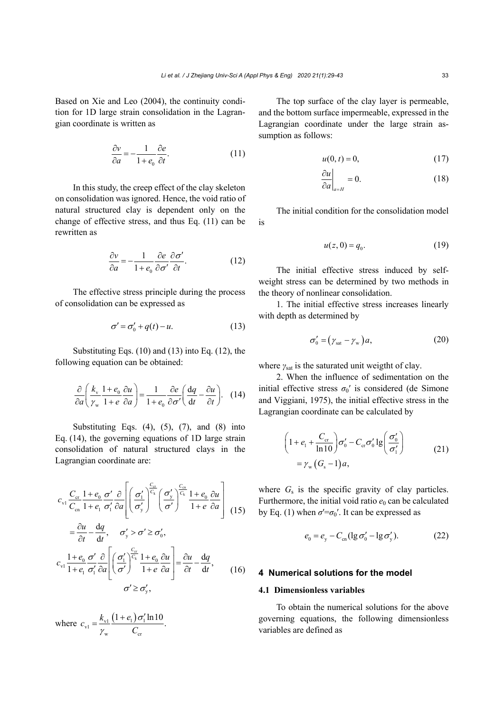Based on Xie and Leo (2004), the continuity condition for 1D large strain consolidation in the Lagrangian coordinate is written as

$$
\frac{\partial v}{\partial a} = -\frac{1}{1 + e_0} \frac{\partial e}{\partial t}.
$$
 (11)

In this study, the creep effect of the clay skeleton on consolidation was ignored. Hence, the void ratio of natural structured clay is dependent only on the change of effective stress, and thus Eq. (11) can be rewritten as

$$
\frac{\partial v}{\partial a} = -\frac{1}{1 + e_0} \frac{\partial e}{\partial \sigma'} \frac{\partial \sigma'}{\partial t}.
$$
 (12)

The effective stress principle during the process of consolidation can be expressed as

$$
\sigma' = \sigma'_0 + q(t) - u. \tag{13}
$$

Substituting Eqs. (10) and (13) into Eq. (12), the following equation can be obtained:

$$
\frac{\partial}{\partial a} \left( \frac{k_v}{\gamma_w} \frac{1 + e_0}{1 + e_0} \frac{\partial u}{\partial a} \right) = \frac{1}{1 + e_0} \frac{\partial e}{\partial \sigma'} \left( \frac{dq}{dt} - \frac{\partial u}{\partial t} \right). \quad (14)
$$

Substituting Eqs.  $(4)$ ,  $(5)$ ,  $(7)$ , and  $(8)$  into Eq. (14), the governing equations of 1D large strain consolidation of natural structured clays in the Lagrangian coordinate are:

$$
c_{\rm v1} \frac{C_{\rm cr}}{C_{\rm cn}} \frac{1 + e_0}{1 + e_1} \frac{\sigma'}{\sigma'_1} \frac{\partial}{\partial a} \left[ \left( \frac{\sigma'_1}{\sigma'_y} \right)^{\frac{C_{\rm cr}}{C_k}} \left( \frac{\sigma'_y}{\sigma'} \right)^{\frac{C_{\rm cr}}{C_k}} \frac{1 + e_0}{1 + e_0} \frac{\partial u}{\partial a} \right]
$$
  
\n
$$
= \frac{\partial u}{\partial t} - \frac{dq}{dt}, \quad \sigma'_y > \sigma' \ge \sigma'_0,
$$
  
\n
$$
c_{\rm v1} \frac{1 + e_0}{1 + e_1} \frac{\sigma'}{\sigma'_1} \frac{\partial}{\partial a} \left[ \left( \frac{\sigma'_1}{\sigma'} \right)^{\frac{C_{\rm cr}}{C_k}} \frac{1 + e_0}{1 + e_0} \frac{\partial u}{\partial a} \right] = \frac{\partial u}{\partial t} - \frac{dq}{dt}, \quad (16)
$$
  
\n
$$
\sigma' \ge \sigma'_y,
$$

where 
$$
c_{\text{vl}} = \frac{k_{\text{vl}}}{\gamma_{\text{w}}} \frac{(1 + e_1) \sigma_1' \ln 10}{C_{\text{cr}}}.
$$

The top surface of the clay layer is permeable, and the bottom surface impermeable, expressed in the Lagrangian coordinate under the large strain assumption as follows:

$$
u(0,t) = 0,\t(17)
$$

$$
\left. \frac{\partial u}{\partial a} \right|_{a=H} = 0. \tag{18}
$$

The initial condition for the consolidation model is

$$
u(z,0) = q_0. \tag{19}
$$

The initial effective stress induced by selfweight stress can be determined by two methods in the theory of nonlinear consolidation.

1. The initial effective stress increases linearly with depth as determined by

$$
\sigma_0' = (\gamma_{\rm sat} - \gamma_{\rm w})a,\tag{20}
$$

where  $\gamma_{\text{sat}}$  is the saturated unit weigtht of clay.

2. When the influence of sedimentation on the initial effective stress  $\sigma_0'$  is considered (de Simone and Viggiani, 1975), the initial effective stress in the Lagrangian coordinate can be calculated by

$$
\left(1 + e_1 + \frac{C_{\text{cr}}}{\ln 10}\right) \sigma'_0 - C_{\text{cr}} \sigma'_0 \lg \left(\frac{\sigma'_0}{\sigma'_1}\right)
$$
\n
$$
= \gamma_{\text{w}} \left(G_{\text{s}} - 1\right) a,\tag{21}
$$

where  $G_s$  is the specific gravity of clay particles. Furthermore, the initial void ratio  $e_0$  can be calculated by Eq. (1) when  $\sigma' = \sigma_0'$ . It can be expressed as

$$
e_0 = e_y - C_{\text{cn}} (\lg \sigma'_0 - \lg \sigma'_y). \tag{22}
$$

# **4 Numerical solutions for the model**

## **4.1 Dimensionless variables**

To obtain the numerical solutions for the above governing equations, the following dimensionless variables are defined as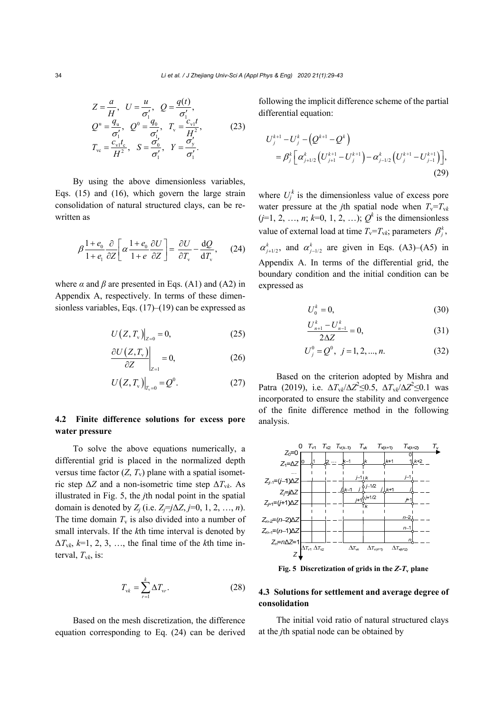$$
Z = \frac{a}{H}, \quad U = \frac{u}{\sigma'_1}, \quad Q = \frac{q(t)}{\sigma'_1},
$$
  
\n
$$
Q^u = \frac{q_u}{\sigma'_1}, \quad Q^0 = \frac{q_0}{\sigma'_1}, \quad T_v = \frac{c_{v1}t}{H^2},
$$
  
\n
$$
T_{vc} = \frac{c_{v1}t_c}{H^2}, \quad S = \frac{\sigma'_0}{\sigma'_1}, \quad Y = \frac{\sigma'_y}{\sigma'_1}.
$$
\n(23)

By using the above dimensionless variables, Eqs. (15) and (16), which govern the large strain consolidation of natural structured clays, can be rewritten as

$$
\beta \frac{1+e_0}{1+e_1} \frac{\partial}{\partial Z} \left[ \alpha \frac{1+e_0}{1+e} \frac{\partial U}{\partial Z} \right] = \frac{\partial U}{\partial T_v} - \frac{\mathrm{d}Q}{\mathrm{d}T_v},\qquad(24)
$$

where  $\alpha$  and  $\beta$  are presented in Eqs. (A1) and (A2) in Appendix A, respectively. In terms of these dimensionless variables, Eqs.  $(17)$ – $(19)$  can be expressed as

$$
U(Z, T_{\rm v})\Big|_{Z=0} = 0, \tag{25}
$$

$$
\left. \frac{\partial U\left(Z, T_{\rm v}\right)}{\partial Z}\right|_{Z=1} = 0, \tag{26}
$$

$$
U(Z, T_{\rm v})\big|_{T_{\rm v}=0} = Q^0.
$$
 (27)

# **4.2 Finite difference solutions for excess pore water pressure**

To solve the above equations numerically, a differential grid is placed in the normalized depth versus time factor  $(Z, T_v)$  plane with a spatial isometric step  $\Delta Z$  and a non-isometric time step  $\Delta T_{vk}$ . As illustrated in Fig. 5, the *j*th nodal point in the spatial domain is denoted by  $Z_j$  (i.e.  $Z_j = j\Delta Z, j=0, 1, 2, ..., n$ ). The time domain  $T_v$  is also divided into a number of small intervals. If the *k*th time interval is denoted by  $\Delta T_{\nu k}$ ,  $k=1, 2, 3, \ldots$ , the final time of the *k*th time interval,  $T_{vk}$ , is:

$$
T_{\mathsf{v}k} = \sum_{r=1}^{k} \Delta T_{\mathsf{v}r}.\tag{28}
$$

Based on the mesh discretization, the difference equation corresponding to Eq. (24) can be derived following the implicit difference scheme of the partial differential equation:

$$
U_j^{k+1} - U_j^k - (Q^{k+1} - Q^k)
$$
  
=  $\beta_j^k \left[ \alpha_{j+1/2}^k \left( U_{j+1}^{k+1} - U_j^{k+1} \right) - \alpha_{j-1/2}^k \left( U_j^{k+1} - U_{j-1}^{k+1} \right) \right],$  (29)

where  $U_j^k$  is the dimensionless value of excess pore water pressure at the *j*th spatial node when  $T_v = T_{vk}$  $(j=1, 2, ..., n; k=0, 1, 2, ...)$ ;  $Q^k$  is the dimensionless value of external load at time  $T_v = T_{vk}$ ; parameters  $\beta_j^k$ ,  $\alpha_{j+1/2}^k$ , and  $\alpha_{j-1/2}^k$  are given in Eqs. (A3)–(A5) in Appendix A. In terms of the differential grid, the boundary condition and the initial condition can be expressed as

$$
U_0^k = 0,\t\t(30)
$$

$$
\frac{U_{n+1}^k - U_{n-1}^k}{2\Delta Z} = 0,
$$
\n(31)

$$
U_j^0 = Q^0, \ j = 1, 2, ..., n.
$$
 (32)

Based on the criterion adopted by Mishra and Patra (2019), i.e.  $\Delta T_{\text{v}k}/\Delta Z^2 \le 0.5$ ,  $\Delta T_{\text{v}k}/\Delta Z^2 \le 0.1$  was incorporated to ensure the stability and convergence of the finite difference method in the following analysis.



**Fig. 5 Discretization of grids in the**  $Z - T$ **<sup>v</sup> plane** 

## **4.3 Solutions for settlement and average degree of consolidation**

The initial void ratio of natural structured clays at the *j*th spatial node can be obtained by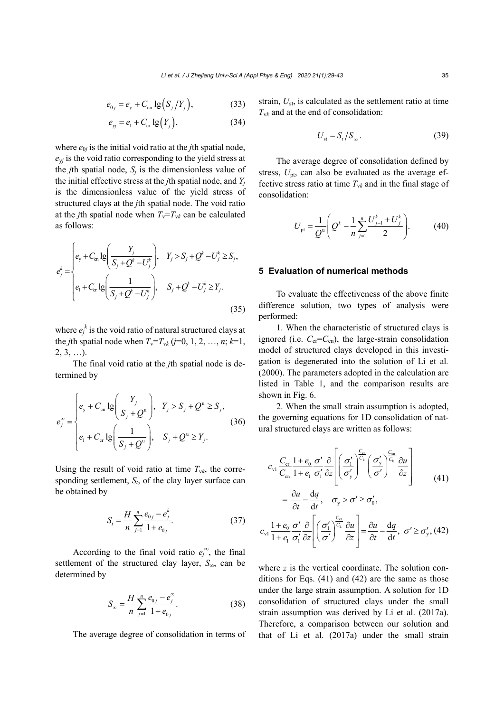$$
e_{0j} = e_{y} + C_{cn} \lg(S_{j}/Y_{j}), \tag{33}
$$

$$
e_{yi} = e_1 + C_{cr} \lg(Y_j), \tag{34}
$$

where  $e_{0j}$  is the initial void ratio at the *j*th spatial node,  $e_{vi}$  is the void ratio corresponding to the yield stress at the *j*th spatial node,  $S_i$  is the dimensionless value of the initial effective stress at the *j*th spatial node, and *Yj* is the dimensionless value of the yield stress of structured clays at the *j*th spatial node. The void ratio at the *j*th spatial node when  $T_v = T_{vk}$  can be calculated as follows:

$$
e_{j}^{k} = \begin{cases} e_{y} + C_{\text{cn}} \lg \left( \frac{Y_{j}}{S_{j} + Q^{k} - U_{j}^{k}} \right), & Y_{j} > S_{j} + Q^{k} - U_{j}^{k} \ge S_{j}, \\ e_{1} + C_{\text{cr}} \lg \left( \frac{1}{S_{j} + Q^{k} - U_{j}^{k}} \right), & S_{j} + Q^{k} - U_{j}^{k} \ge Y_{j}. \end{cases}
$$
\n(35)

where  $e_j^k$  is the void ratio of natural structured clays at the *j*th spatial node when  $T_v = T_{vk}$  (*j*=0, 1, 2, …, *n*; *k*=1,  $2, 3, \ldots$ ).

The final void ratio at the *j*th spatial node is determined by

$$
e_j^{\infty} = \begin{cases} e_y + C_{\text{cn}} \lg \left( \frac{Y_j}{S_j + Q^u} \right), & Y_j > S_j + Q^u \ge S_j, \\ e_1 + C_{\text{cr}} \lg \left( \frac{1}{S_j + Q^u} \right), & S_j + Q^u \ge Y_j. \end{cases}
$$
(36)

Using the result of void ratio at time  $T_{vk}$ , the corresponding settlement,  $S_t$ , of the clay layer surface can be obtained by

$$
S_{t} = \frac{H}{n} \sum_{j=1}^{n} \frac{e_{0j} - e_{j}^{k}}{1 + e_{0j}}.
$$
 (37)

According to the final void ratio  $e_j^{\infty}$ , the final settlement of the structured clay layer, *S*∞, can be determined by

$$
S_{\infty} = \frac{H}{n} \sum_{j=1}^{n} \frac{e_{0j} - e_j^{\infty}}{1 + e_{0j}}.
$$
 (38)

The average degree of consolidation in terms of

strain, *U*st, is calculated as the settlement ratio at time *T*v*k* and at the end of consolidation:

$$
U_{\rm st} = S_t / S_{\infty} \,. \tag{39}
$$

The average degree of consolidation defined by stress,  $U_{\text{pt}}$ , can also be evaluated as the average effective stress ratio at time  $T_{vk}$  and in the final stage of consolidation:

$$
U_{\rm pt} = \frac{1}{Q^{\rm u}} \left( Q^k - \frac{1}{n} \sum_{j=1}^n \frac{U_{j-1}^k + U_j^k}{2} \right). \tag{40}
$$

#### **5 Evaluation of numerical methods**

To evaluate the effectiveness of the above finite difference solution, two types of analysis were performed:

1. When the characteristic of structured clays is ignored (i.e.  $C_{cr} = C_{cn}$ ), the large-strain consolidation model of structured clays developed in this investigation is degenerated into the solution of Li et al*.*  (2000). The parameters adopted in the calculation are listed in Table 1, and the comparison results are shown in Fig. 6.

2. When the small strain assumption is adopted, the governing equations for 1D consolidation of natural structured clays are written as follows:

$$
c_{\rm v1} \frac{C_{\rm cr}}{C_{\rm cn}} \frac{1 + e_0}{1 + e_1} \frac{\sigma'}{\sigma'_1} \frac{\partial}{\partial z} \left[ \left( \frac{\sigma'_1}{\sigma'_y} \right)^{\frac{C_{\rm cr}}{C_k}} \left( \frac{\sigma'_y}{\sigma'} \right)^{\frac{C_{\rm cn}}{C_k}} \frac{\partial u}{\partial z} \right]
$$
  
\n
$$
= \frac{\partial u}{\partial t} - \frac{dq}{dt}, \quad \sigma_y > \sigma' \ge \sigma'_0,
$$
  
\n
$$
c_{\rm v1} \frac{1 + e_0}{1 + e_1} \frac{\sigma'}{\sigma'_1} \frac{\partial}{\partial z} \left[ \left( \frac{\sigma'_1}{\sigma'} \right)^{\frac{C_{\rm cr}}{C_k}} \frac{\partial u}{\partial z} \right] = \frac{\partial u}{\partial t} - \frac{dq}{dt}, \quad \sigma' \ge \sigma'_y, \quad (42)
$$

 $\sigma$ 

 $\sigma$ 

where *z* is the vertical coordinate. The solution conditions for Eqs.  $(41)$  and  $(42)$  are the same as those under the large strain assumption. A solution for 1D consolidation of structured clays under the small strain assumption was derived by Li et al. (2017a). Therefore, a comparison between our solution and that of Li et al. (2017a) under the small strain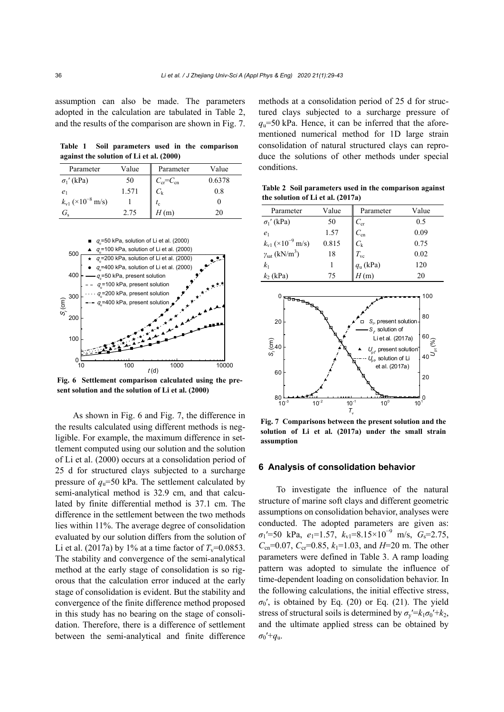assumption can also be made. The parameters adopted in the calculation are tabulated in Table 2, and the results of the comparison are shown in Fig. 7.

**Table 1 Soil parameters used in the comparison against the solution of Li et al. (2000)** 

| Parameter                            | Value | Parameter         | Value  |
|--------------------------------------|-------|-------------------|--------|
| $\sigma_1$ ' (kPa)                   | 50    | $C_{cr} = C_{cn}$ | 0.6378 |
| e <sub>1</sub>                       | 1.571 |                   | 0.8    |
| $k_{\rm v1}$ (×10 <sup>-8</sup> m/s) |       | $t_{\rm c}$       |        |
| G.                                   | 2.75  | H(m)              | 20     |



**Fig. 6 Settlement comparison calculated using the present solution and the solution of Li et al. (2000)** 

As shown in Fig. 6 and Fig. 7, the difference in the results calculated using different methods is negligible. For example, the maximum difference in settlement computed using our solution and the solution of Li et al. (2000) occurs at a consolidation period of 25 d for structured clays subjected to a surcharge pressure of  $q_u$ =50 kPa. The settlement calculated by semi-analytical method is 32.9 cm, and that calculated by finite differential method is 37.1 cm. The difference in the settlement between the two methods lies within 11%. The average degree of consolidation evaluated by our solution differs from the solution of Li et al. (2017a) by 1% at a time factor of  $T_v=0.0853$ . The stability and convergence of the semi-analytical method at the early stage of consolidation is so rigorous that the calculation error induced at the early stage of consolidation is evident. But the stability and convergence of the finite difference method proposed in this study has no bearing on the stage of consolidation. Therefore, there is a difference of settlement between the semi-analytical and finite difference

methods at a consolidation period of 25 d for structured clays subjected to a surcharge pressure of  $q<sub>u</sub>=50$  kPa. Hence, it can be inferred that the aforementioned numerical method for 1D large strain consolidation of natural structured clays can reproduce the solutions of other methods under special conditions.

**Table 2 Soil parameters used in the comparison against the solution of Li et al. (2017a)** 

| Parameter                               | Value |                                                                      | Value |  |
|-----------------------------------------|-------|----------------------------------------------------------------------|-------|--|
| $\sigma_1$ ' (kPa)                      | 50    |                                                                      | 0.5   |  |
| e <sub>1</sub>                          | 1.57  | $\begin{array}{c} C_{\rm cr} \\ C_{\rm cn} \\ C_{\rm k} \end{array}$ | 0.09  |  |
| $k_{\rm v1}$ (×10 <sup>-9</sup> m/s)    | 0.815 |                                                                      | 0.75  |  |
| $\gamma_{\rm sat}$ (kN/m <sup>3</sup> ) | 18    | $T_{\rm vc}$                                                         | 0.02  |  |
| k <sub>1</sub>                          |       |                                                                      | 120   |  |
| $k_2$ (kPa)                             | 75    | $q_u$ (kPa)<br>$H(m)$                                                | 20    |  |
|                                         |       |                                                                      |       |  |



**Fig. 7 Comparisons between the present solution and the solution of Li et al. (2017a) under the small strain assumption** 

#### **6 Analysis of consolidation behavior**

To investigate the influence of the natural structure of marine soft clays and different geometric assumptions on consolidation behavior, analyses were conducted. The adopted parameters are given as: *σ*<sub>1</sub>'=50 kPa, *e*<sub>1</sub>=1.57, *k*<sub>ν1</sub>=8.15×10<sup>-9</sup> m/s, *G*<sub>s</sub>=2.75,  $C_{\text{cn}}$ =0.07,  $C_{\text{cr}}$ =0.85,  $k_1$ =1.03, and *H*=20 m. The other parameters were defined in Table 3. A ramp loading pattern was adopted to simulate the influence of time-dependent loading on consolidation behavior. In the following calculations, the initial effective stress,  $\sigma_0'$ , is obtained by Eq. (20) or Eq. (21). The yield stress of structural soils is determined by  $\sigma_{v} = k_1 \sigma_0' + k_2$ , and the ultimate applied stress can be obtained by  $\sigma_0'$ <sup>+</sup> $q_u$ .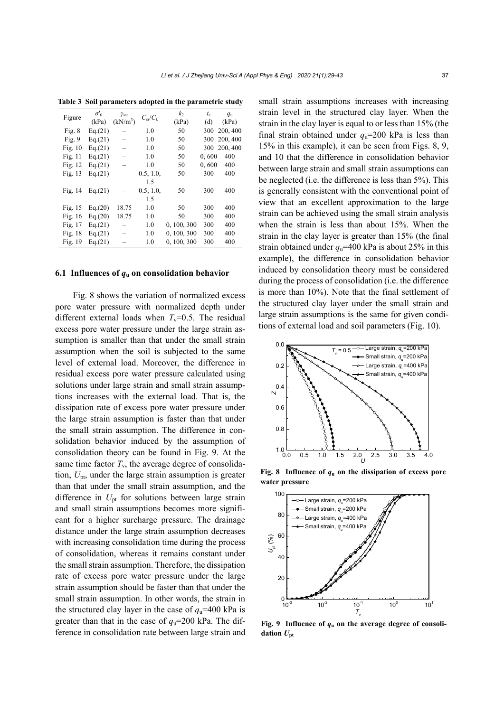| Figure    | $\sigma'_{0}$ | $\gamma_{\text{sat}}$ | $C_{cr}/C_{k}$ | k <sub>2</sub> | $t_{\rm c}$ | $q_{\rm u}$  |
|-----------|---------------|-----------------------|----------------|----------------|-------------|--------------|
|           | (kPa)         | (kN/m <sup>3</sup> )  |                | (kPa)          | (d)         | (kPa)        |
| Fig. $8$  | Eq.(21)       |                       | 1.0            | 50             |             | 300 200, 400 |
| Fig. $9$  | Eq.(21)       |                       | 1.0            | 50             |             | 300 200, 400 |
| Fig. $10$ | Eq.(21)       |                       | 1.0            | 50             |             | 300 200, 400 |
| Fig. $11$ | Eq.(21)       |                       | 1.0            | 50             | 0,600       | 400          |
| Fig. 12   | Eq.(21)       |                       | 1.0            | 50             | 0,600       | 400          |
| Fig. 13   | Eq.(21)       |                       | 0.5, 1.0,      | 50             | 300         | 400          |
|           |               |                       | 1.5            |                |             |              |
| Fig. 14   | Eq.(21)       |                       | 0.5, 1.0,      | 50             | 300         | 400          |
|           |               |                       | 1.5            |                |             |              |
| Fig. 15   | Eq.(20)       | 18.75                 | 1.0            | 50             | 300         | 400          |
| Fig. 16   | Eq.(20)       | 18.75                 | 1.0            | 50             | 300         | 400          |
| Fig. 17   | Eq.(21)       |                       | 1.0            | 0, 100, 300    | 300         | 400          |
| Fig. 18   | Eq.(21)       |                       | 1.0            | 0, 100, 300    | 300         | 400          |
| Fig. 19   | Eq.(21)       |                       | 1.0            | 0, 100, 300    | 300         | 400          |

**Table 3 Soil parameters adopted in the parametric study**

#### **6.1 Influences of**  $q_u$  **on consolidation behavior**

Fig. 8 shows the variation of normalized excess pore water pressure with normalized depth under different external loads when  $T_v=0.5$ . The residual excess pore water pressure under the large strain assumption is smaller than that under the small strain assumption when the soil is subjected to the same level of external load. Moreover, the difference in residual excess pore water pressure calculated using solutions under large strain and small strain assumptions increases with the external load. That is, the dissipation rate of excess pore water pressure under the large strain assumption is faster than that under the small strain assumption. The difference in consolidation behavior induced by the assumption of consolidation theory can be found in Fig. 9. At the same time factor  $T_v$ , the average degree of consolidation,  $U_{\text{pt}}$ , under the large strain assumption is greater than that under the small strain assumption, and the difference in  $U_{\text{pt}}$  for solutions between large strain and small strain assumptions becomes more significant for a higher surcharge pressure. The drainage distance under the large strain assumption decreases with increasing consolidation time during the process of consolidation, whereas it remains constant under the small strain assumption. Therefore, the dissipation rate of excess pore water pressure under the large strain assumption should be faster than that under the small strain assumption. In other words, the strain in the structured clay layer in the case of  $q_{\rm u}$ =400 kPa is greater than that in the case of  $q_{\rm u}$ =200 kPa. The difference in consolidation rate between large strain and small strain assumptions increases with increasing strain level in the structured clay layer. When the strain in the clay layer is equal to or less than 15% (the final strain obtained under  $q_{\rm u}$ =200 kPa is less than 15% in this example), it can be seen from Figs. 8, 9, and 10 that the difference in consolidation behavior between large strain and small strain assumptions can be neglected (i.e. the difference is less than 5%). This is generally consistent with the conventional point of view that an excellent approximation to the large strain can be achieved using the small strain analysis when the strain is less than about 15%. When the strain in the clay layer is greater than 15% (the final strain obtained under  $q_u$ =400 kPa is about 25% in this example), the difference in consolidation behavior induced by consolidation theory must be considered during the process of consolidation (i.e. the difference is more than 10%). Note that the final settlement of the structured clay layer under the small strain and large strain assumptions is the same for given conditions of external load and soil parameters (Fig. 10).



**Fig. 8** Influence of  $q_u$  on the dissipation of excess pore **water pressure** 



Fig. 9 Influence of  $q_u$  on the average degree of consolidation  $U_{\text{pt}}$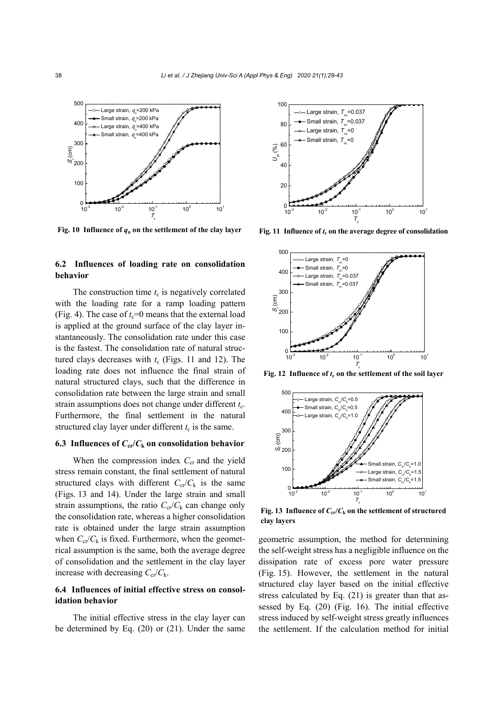

**Fig. 10** Influence of  $q_u$  on the settlement of the clay layer

# **6.2 Influences of loading rate on consolidation behavior**

The construction time  $t_c$  is negatively correlated with the loading rate for a ramp loading pattern (Fig. 4). The case of  $t_c=0$  means that the external load is applied at the ground surface of the clay layer instantaneously. The consolidation rate under this case is the fastest. The consolidation rate of natural structured clays decreases with  $t_c$  (Figs. 11 and 12). The loading rate does not influence the final strain of natural structured clays, such that the difference in consolidation rate between the large strain and small strain assumptions does not change under different *t*<sub>c</sub>. Furthermore, the final settlement in the natural structured clay layer under different  $t_c$  is the same.

# **6.3 Influences of**  $C_{cr}/C_k$  **on consolidation behavior**

When the compression index C<sub>cr</sub> and the yield stress remain constant, the final settlement of natural structured clays with different  $C_{cr}/C_k$  is the same (Figs. 13 and 14). Under the large strain and small strain assumptions, the ratio  $C_{cr}/C_k$  can change only the consolidation rate, whereas a higher consolidation rate is obtained under the large strain assumption when  $C_{cr}/C_k$  is fixed. Furthermore, when the geometrical assumption is the same, both the average degree of consolidation and the settlement in the clay layer increase with decreasing  $C_{cr}/C_k$ .

# **6.4 Influences of initial effective stress on consolidation behavior**

The initial effective stress in the clay layer can be determined by Eq. (20) or (21). Under the same



**Fig. 11 Influence of**  $t_c$  **on the average degree of consolidation** 



**Fig. 12** Influence of  $t_c$  on the settlement of the soil layer



**Fig. 13** Influence of  $C_{cr}/C_k$  on the settlement of structured **clay layers** 

geometric assumption, the method for determining the self-weight stress has a negligible influence on the dissipation rate of excess pore water pressure (Fig. 15). However, the settlement in the natural structured clay layer based on the initial effective stress calculated by Eq. (21) is greater than that assessed by Eq. (20) (Fig. 16). The initial effective stress induced by self-weight stress greatly influences the settlement. If the calculation method for initial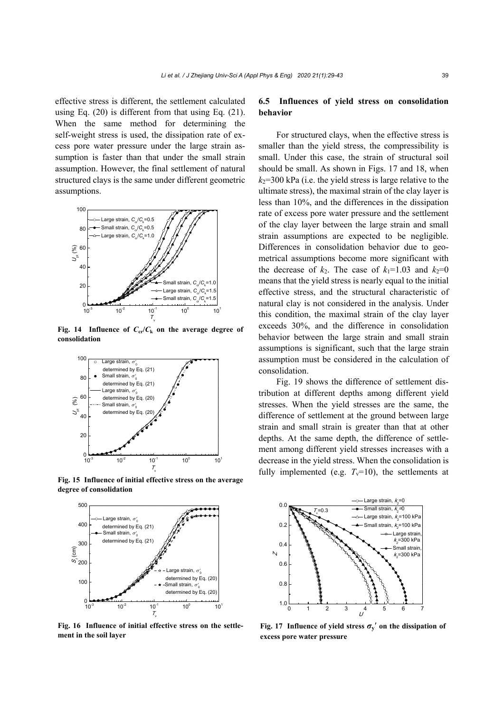effective stress is different, the settlement calculated using Eq. (20) is different from that using Eq. (21). When the same method for determining the self-weight stress is used, the dissipation rate of excess pore water pressure under the large strain assumption is faster than that under the small strain assumption. However, the final settlement of natural structured clays is the same under different geometric assumptions.



**Fig. 14** Influence of  $C_{cr}/C_k$  on the average degree of **consolidation** 



**Fig. 15 Influence of initial effective stress on the average degree of consolidation** 



**Fig. 16 Influence of initial effective stress on the settlement in the soil layer** 

## **6.5 Influences of yield stress on consolidation behavior**

For structured clays, when the effective stress is smaller than the yield stress, the compressibility is small. Under this case, the strain of structural soil should be small. As shown in Figs. 17 and 18, when  $k_2$ =300 kPa (i.e. the yield stress is large relative to the ultimate stress), the maximal strain of the clay layer is less than 10%, and the differences in the dissipation rate of excess pore water pressure and the settlement of the clay layer between the large strain and small strain assumptions are expected to be negligible. Differences in consolidation behavior due to geometrical assumptions become more significant with the decrease of  $k_2$ . The case of  $k_1=1.03$  and  $k_2=0$ means that the yield stress is nearly equal to the initial effective stress, and the structural characteristic of natural clay is not considered in the analysis. Under this condition, the maximal strain of the clay layer exceeds 30%, and the difference in consolidation behavior between the large strain and small strain assumptions is significant, such that the large strain assumption must be considered in the calculation of consolidation.

Fig. 19 shows the difference of settlement distribution at different depths among different yield stresses. When the yield stresses are the same, the difference of settlement at the ground between large strain and small strain is greater than that at other depths. At the same depth, the difference of settlement among different yield stresses increases with a decrease in the yield stress. When the consolidation is fully implemented (e.g.  $T_v=10$ ), the settlements at



**Fig. 17** Influence of yield stress  $\sigma_y$ <sup>'</sup> on the dissipation of **excess pore water pressure**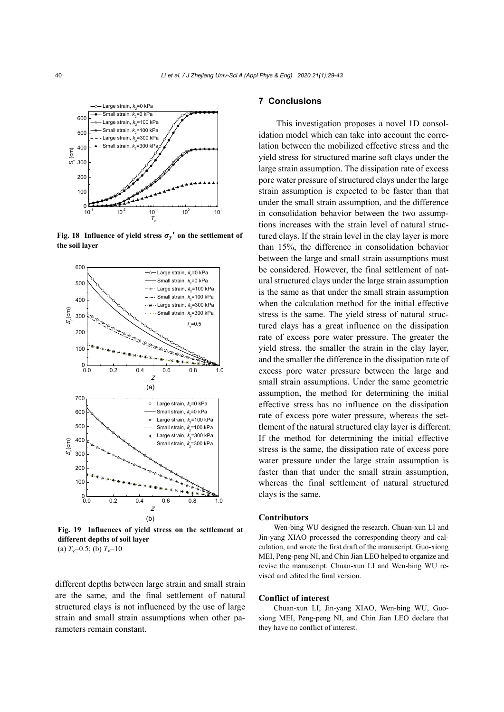

**Fig. 18** Influence of yield stress  $\sigma_y$ <sup>*'*</sup> on the settlement of **the soil layer** 



**Fig. 19 Influences of yield stress on the settlement at different depths of soil layer** 

(a)  $T_v=0.5$ ; (b)  $T_v=10$ 

different depths between large strain and small strain are the same, and the final settlement of natural structured clays is not influenced by the use of large strain and small strain assumptions when other parameters remain constant.

## **7 Conclusions**

This investigation proposes a novel 1D consolidation model which can take into account the correlation between the mobilized effective stress and the yield stress for structured marine soft clays under the large strain assumption. The dissipation rate of excess pore water pressure of structured clays under the large strain assumption is expected to be faster than that under the small strain assumption, and the difference in consolidation behavior between the two assumptions increases with the strain level of natural structured clays. If the strain level in the clay layer is more than 15%, the difference in consolidation behavior between the large and small strain assumptions must be considered. However, the final settlement of natural structured clays under the large strain assumption is the same as that under the small strain assumption when the calculation method for the initial effective stress is the same. The yield stress of natural structured clays has a great influence on the dissipation rate of excess pore water pressure. The greater the yield stress, the smaller the strain in the clay layer, and the smaller the difference in the dissipation rate of excess pore water pressure between the large and small strain assumptions. Under the same geometric assumption, the method for determining the initial effective stress has no influence on the dissipation rate of excess pore water pressure, whereas the settlement of the natural structured clay layer is different. If the method for determining the initial effective stress is the same, the dissipation rate of excess pore water pressure under the large strain assumption is faster than that under the small strain assumption, whereas the final settlement of natural structured clays is the same.

#### **Contributors**

Wen-bing WU designed the research. Chuan-xun LI and Jin-yang XIAO processed the corresponding theory and calculation, and wrote the first draft of the manuscript. Guo-xiong MEI, Peng-peng NI, and Chin Jian LEO helped to organize and revise the manuscript. Chuan-xun LI and Wen-bing WU revised and edited the final version.

#### **Conflict of interest**

Chuan-xun LI, Jin-yang XIAO, Wen-bing WU, Guoxiong MEI, Peng-peng NI, and Chin Jian LEO declare that they have no conflict of interest.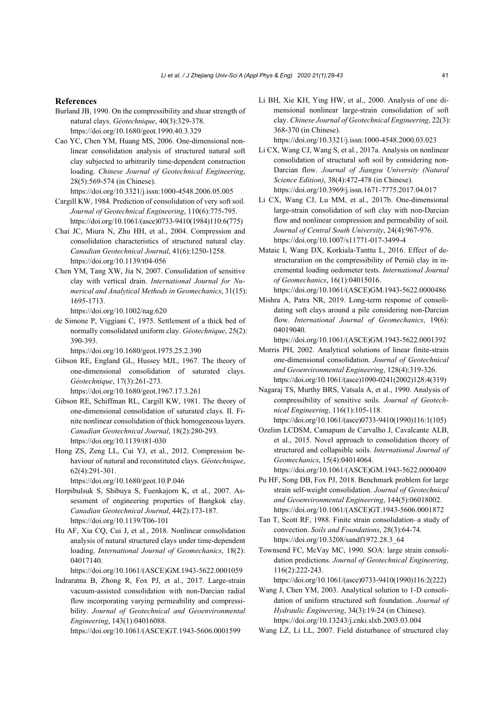#### **References**

- Burland JB, 1990. On the compressibility and shear strength of natural clays. *Géotechnique*, 40(3):329-378. https://doi.org/10.1680/geot.1990.40.3.329
- Cao YC, Chen YM, Huang MS, 2006. One-dimensional nonlinear consolidation analysis of structured natural soft clay subjected to arbitrarily time-dependent construction loading. *Chinese Journal of Geotechnical Engineering*, 28(5):569-574 (in Chinese).
- https://doi.org/10.3321/j.issn:1000-4548.2006.05.005 Cargill KW, 1984. Prediction of consolidation of very soft soil. *Journal of Geotechnical Engineering*, 110(6):775-795. https://doi.org/10.1061/(asce)0733-9410(1984)110:6(775)
- Chai JC, Miura N, Zhu HH, et al., 2004. Compression and consolidation characteristics of structured natural clay. *Canadian Geotechnical Journal*, 41(6):1250-1258. https://doi.org/10.1139/t04-056
- Chen YM, Tang XW, Jia N, 2007. Consolidation of sensitive clay with vertical drain. *International Journal for Numerical and Analytical Methods in Geomechanics*, 31(15): 1695-1713.
	- https://doi.org/10.1002/nag.620
- de Simone P, Viggiani C, 1975. Settlement of a thick bed of normally consolidated uniform clay. *Géotechnique*, 25(2): 390-393.
	- https://doi.org/10.1680/geot.1975.25.2.390
- Gibson RE, England GL, Hussey MJL, 1967. The theory of one-dimensional consolidation of saturated clays. *Géotechnique*, 17(3):261-273.

https://doi.org/10.1680/geot.1967.17.3.261

- Gibson RE, Schiffman RL, Cargill KW, 1981. The theory of one-dimensional consolidation of saturated clays. II. Finite nonlinear consolidation of thick homogeneous layers. *Canadian Geotechnical Journal*, 18(2):280-293. https://doi.org/10.1139/t81-030
- Hong ZS, Zeng LL, Cui YJ, et al., 2012. Compression behaviour of natural and reconstituted clays. *Géotechnique*, 62(4):291-301.

https://doi.org/10.1680/geot.10.P.046

- Horpibulsuk S, Shibuya S, Fuenkajorn K, et al., 2007. Assessment of engineering properties of Bangkok clay. *Canadian Geotechnical Journal*, 44(2):173-187. https://doi.org/10.1139/T06-101
- Hu AF, Xia CQ, Cui J, et al., 2018. Nonlinear consolidation analysis of natural structured clays under time-dependent loading. *International Journal of Geomechanics*, 18(2): 04017140.

https://doi.org/10.1061/(ASCE)GM.1943-5622.0001059

Indraratna B, Zhong R, Fox PJ, et al., 2017. Large-strain vacuum-assisted consolidation with non-Darcian radial flow incorporating varying permeability and compressibility. *Journal of Geotechnical and Geoenvironmental Engineering*, 143(1):04016088.

https://doi.org/10.1061/(ASCE)GT.1943-5606.0001599

- Li BH, Xie KH, Ying HW, et al., 2000. Analysis of one dimensional nonlinear large-strain consolidation of soft clay. *Chinese Journal of Geotechnical Engineering*, 22(3): 368-370 (in Chinese). https://doi.org/10.3321/j.issn:1000-4548.2000.03.023
- Li CX, Wang CJ, Wang S, et al., 2017a. Analysis on nonlinear consolidation of structural soft soil by considering non-Darcian flow. *Journal of Jiangsu University (Natural Science Edition)*, 38(4):472-478 (in Chinese). https://doi.org/10.3969/j.issn.1671-7775.2017.04.017
- Li CX, Wang CJ, Lu MM, et al., 2017b. One-dimensional large-strain consolidation of soft clay with non-Darcian flow and nonlinear compression and permeability of soil. *Journal of Central South University*, 24(4):967-976. https://doi.org/10.1007/s11771-017-3499-4
- Mataic I, Wang DX, Korkiala-Tanttu L, 2016. Effect of destructuration on the compressibility of Perniö clay in incremental loading oedometer tests. *International Journal of Geomechanics*, 16(1):04015016.
	- https://doi.org/10.1061/(ASCE)GM.1943-5622.0000486
- Mishra A, Patra NR, 2019. Long-term response of consolidating soft clays around a pile considering non-Darcian flow. *International Journal of Geomechanics*, 19(6): 04019040.

https://doi.org/10.1061/(ASCE)GM.1943-5622.0001392

- Morris PH, 2002. Analytical solutions of linear finite-strain one-dimensional consolidation. *Journal of Geotechnical and Geoenvironmental Engineering*, 128(4):319-326. https://doi.org/10.1061/(asce)1090-0241(2002)128:4(319)
- Nagaraj TS, Murthy BRS, Vatsala A, et al., 1990. Analysis of compressibility of sensitive soils. *Journal of Geotechnical Engineering*, 116(1):105-118. https://doi.org/10.1061/(asce)0733-9410(1990)116:1(105)
- Ozelim LCDSM, Camapum de Carvalho J, Cavalcante ALB, et al., 2015. Novel approach to consolidation theory of structured and collapsible soils. *International Journal of Geomechanics*, 15(4):04014064.

https://doi.org/10.1061/(ASCE)GM.1943-5622.0000409

- Pu HF, Song DB, Fox PJ, 2018. Benchmark problem for large strain self-weight consolidation. *Journal of Geotechnical and Geoenvironmental Engineering*, 144(5):06018002. https://doi.org/10.1061/(ASCE)GT.1943-5606.0001872
- Tan T, Scott RF, 1988. Finite strain consolidation–a study of convection. *Soils and Foundations*, 28(3):64-74. https://doi.org/10.3208/sandf1972.28.3\_64
- Townsend FC, McVay MC, 1990. SOA: large strain consolidation predictions. *Journal of Geotechnical Engineering*, 116(2):222-243.

https://doi.org/10.1061/(asce)0733-9410(1990)116:2(222)

Wang J, Chen YM, 2003. Analytical solution to 1-D consolidation of uniform structured soft foundation. *Journal of Hydraulic Engineering*, 34(3):19-24 (in Chinese). https://doi.org/10.13243/j.cnki.slxb.2003.03.004

Wang LZ, Li LL, 2007. Field disturbance of structured clay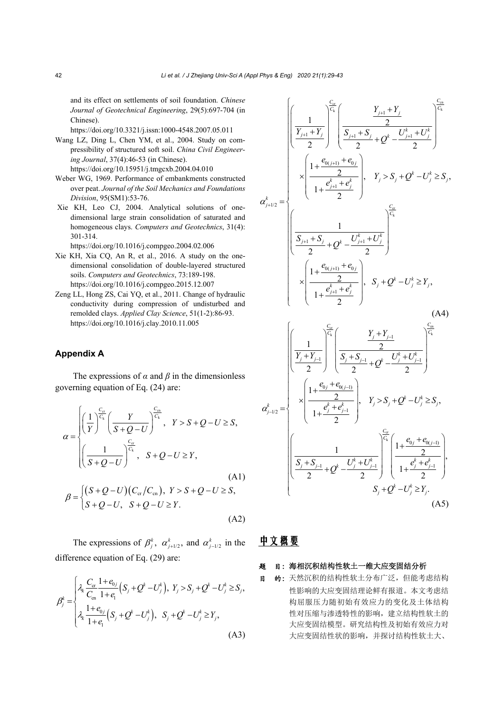and its effect on settlements of soil foundation. *Chinese Journal of Geotechnical Engineering*, 29(5):697-704 (in Chinese).

https://doi.org/10.3321/j.issn:1000-4548.2007.05.011

- Wang LZ, Ding L, Chen YM, et al., 2004. Study on compressibility of structured soft soil. *China Civil Engineering Journal*, 37(4):46-53 (in Chinese). https://doi.org/10.15951/j.tmgcxb.2004.04.010
- Weber WG, 1969. Performance of embankments constructed over peat. *Journal of the Soil Mechanics and Foundations Division*, 95(SM1):53-76.
- Xie KH, Leo CJ, 2004. Analytical solutions of onedimensional large strain consolidation of saturated and homogeneous clays. *Computers and Geotechnics*, 31(4): 301-314.

https://doi.org/10.1016/j.compgeo.2004.02.006

- Xie KH, Xia CQ, An R, et al., 2016. A study on the onedimensional consolidation of double-layered structured soils. *Computers and Geotechnics*, 73:189-198. https://doi.org/10.1016/j.compgeo.2015.12.007
- Zeng LL, Hong ZS, Cai YQ, et al., 2011. Change of hydraulic conductivity during compression of undisturbed and remolded clays. *Applied Clay Science*, 51(1-2):86-93. https://doi.org/10.1016/j.clay.2010.11.005

## **Appendix A**

The expressions of  $\alpha$  and  $\beta$  in the dimensionless governing equation of Eq. (24) are:

$$
\alpha = \begin{cases}\n\left(\frac{1}{Y}\right)^{\frac{C_{\alpha}}{C_{k}}}\left(\frac{Y}{S+Q-U}\right)^{\frac{C_{\alpha}}{C_{k}}}, & Y > S+Q-U \ge S, \\
\left(\frac{1}{S+Q-U}\right)^{\frac{C_{\alpha}}{C_{k}}}, & S+Q-U \ge Y,\n\end{cases}
$$
\n(A1)  
\n
$$
\beta = \begin{cases}\n(S+Q-U)(C_{\text{cr}}/C_{\text{cn}}), & Y > S+Q-U \ge S, \\
S+Q-U, & S+Q-U \ge Y.\n\end{cases}
$$
\n(A2)

The expressions of  $\beta_j^k$ ,  $\alpha_{j+1/2}^k$ , and  $\alpha_{j-1/2}^k$  in the difference equation of Eq. (29) are:

$$
\beta_j^k = \begin{cases} \n\lambda_k \frac{C_{\text{cr}}}{C_{\text{cn}}} \frac{1 + e_{0j}}{1 + e_1} \left( S_j + Q^k - U_j^k \right), & Y_j > S_j + Q^k - U_j^k \ge S_j, \\ \n\lambda_k \frac{1 + e_{0j}}{1 + e_1} \left( S_j + Q^k - U_j^k \right), & S_j + Q^k - U_j^k \ge Y_j, \\ \n\end{cases} \tag{A3}
$$

 $\frac{c_{cr}}{c}$  cr  $\frac{c_{cr}}{c}$  $Y_{j+1} + Y_j$   $Y_{j+1}$ <sub>c</sub> k  $\frac{1+i}{j}$   $\frac{1}{j+1}$   $\frac{1}{j+1}$   $\frac{1}{j+1}$   $\frac{1}{j+1}$  $v_{0(j+1)}$  +  $c_{0}$ 1  $\alpha_{j+1/2}^k = \begin{cases} 2 & 2 \end{cases}$  $1 \perp \mathcal{O}_j$   $\Lambda^k$   $\cup_{j+1}$  $0(j+1)$   $\cdot$   $\cdot$   $0$ 1  $\frac{1}{2}$   $\frac{1}{2}$ 2  $\left( \begin{array}{ccc} 2 & 2 \end{array} \right)$  2 1  $\times \left| \frac{2}{\frac{k}{\lambda} + k} \right|, \quad Y_j > S_j + Q^k - U_j^k \geq S_j,$ 1 2 1 2  $2$ 1 2 1 *C*<sub>cc</sub> *C*<sub>cc</sub> 2  $\overline{C_{k}}$   $\left\{ \begin{array}{c} Y_{j+1} + Y_{j} \end{array} \right\}$  $\left| \sum_{j+1}^{i+1} + Y_j \right|$   $\left| \sum_{j+1}^{i+1} + S_j \right|$   $\left| \sum_{j+1}^{k} + U_j^k \right|$  $_{(j+1)}$   $\tau$   $\epsilon_{0j}$  $j+1$   $\bullet$ *C k k*  $j+1$ <sup> $\top \omega$ </sup>*j*  $\Lambda^k$   $\omega$ <sub>*j*+1</sub> $\top \omega$ <sub>*j*</sub>  $j+1$ <sup> $\bullet$ </sup>0<sup>*j*</sup> *k j*  $Y_{i+1} + Y$  $\left| \frac{Y_{j+1} + Y_j}{2} \right|$   $\left| \frac{S_{j+1} + S_j}{2} + Q^k - \frac{U_{j+1}^k + U_j}{2} \right|$  $e_{0(i+1)} + e$  $e_{i+1}^k + e$  $S_{i+1} + S_i$  or  $U_{i+1}^k + U$ *Q*  $e_{0(i+1)} + e$ *e*  $\ddot{}$  $\mathbf{P}_{i+1}$   $\mathbf{P}_{j+1}$   $\mathbf{P}_{j+1}$   $\mathbf{P}_{j}$   $\mathbf{P}_{j}$   $\mathbf{P}_{j}$   $\mathbf{P}_{j+1}$  $\ddot{}$  $^{+}$  $+1$ <sup>T</sup> $\omega$ <sub>j</sub>  $\alpha$ <sup>k</sup>  $\omega$ <sub>j+</sub>  $\ddot{}$  $\ddot{}$  $\int \overline{C_k} \left( Y_{i+1} + Y_i \right)$  $\begin{array}{|c|c|c|c|c|c|c|c|} \hline & & & & & & & & & & \\ \hline & & 1 & & & & & & & & \\ \hline & & 1 & & & & & & & & & \\ \hline & & & & & & & & & & & \\ \hline \end{array}$  $\left(\frac{\overline{Y}_{j+1} + \overline{Y}_j}{2}\right)$   $\left(\frac{\overline{S}_{j+1} + \overline{S}_j}{2} + Q^k - \frac{U_{j+1}^k + U_j^k}{2}\right)$  $\left(1+\frac{e_{0(j+1)}+e_{0j}}{2}\right)$  $\begin{vmatrix} e_{j+1}^k + e_j^k \end{vmatrix}$  $=\begin{cases} 1+\frac{e^{i+1}+e^{i}}{2} \end{cases}$  $\begin{pmatrix} 1 & 1 \\ 1 & 1 \end{pmatrix}$  $+S_i \t b_i^k U_{i+1}^k +$  $\left(\frac{\omega_{j+1}+\omega_j}{2}+Q^k-\frac{\omega_{j+1}+\omega_j}{2}\right)$  $+\frac{e_{0(j+1)}+e_{0(j+1)}}{2}$  $\times$  $\overline{+}$  $\frac{k}{\lambda_i}$ ,  $S_j + Q^k - U_j^k \ge Y_j$ 2  $\begin{pmatrix} 1 + \frac{e_{0(j+1)} + e_{0j}}{2} \\ \frac{e_{j+1}^k + e_j^k}{2} \end{pmatrix}, S_j + Q^k - U_j^k \geq Y$  $\int$  $\downarrow$  $\downarrow$  $\downarrow$  $\downarrow$  $\downarrow$  $\downarrow$  $\downarrow$  $\downarrow$  $\downarrow$  $\overline{1}$  $\vert$ ₹  $\downarrow$  $\downarrow$  $\overline{\phantom{a}}$  $\overline{\phantom{a}}$  $\overline{\phantom{a}}$  $\overline{\phantom{a}}$  $\overline{\phantom{a}}$  $\begin{pmatrix} 1 & 2 \end{pmatrix}$  (A4)  $\frac{C_{\rm cn}}{a}$  $\frac{C_{\text{cr}}}{\sqrt{C_{\text{cr}}}}$  $Y_i + Y$  $\left(\begin{array}{cc} & & \sqrt{\overline{G}_{k}} \end{array}\right)$   $\left(\begin{array}{cc} & & Y_{i}+Y_{i-1} \end{array}\right)$  $\int$ 

$$
\alpha_{j-1/2}^{k} = \begin{pmatrix}\n\frac{1}{Y_{j} + Y_{j-1}} \\
\frac{1}{Y_{j} + Y_{j-1}} \\
2\n\end{pmatrix}\n\begin{pmatrix}\n\frac{Y_{j} + Y_{j-1}}{2} \\
\frac{S_{j} + S_{j-1}}{2} + Q^{k} - \frac{U_{j}^{k} + U_{j-1}^{k}}{2}\n\end{pmatrix}^{C_{k}}
$$
\n
$$
\alpha_{j-1/2}^{k} = \begin{pmatrix}\n\frac{1 + \frac{e_{0j} + e_{0(j-1)}}{2}}{1 + \frac{e_{j}^{k} + e_{j-1}^{k}}{2}}\n\end{pmatrix}, \quad Y_{j} > S_{j} + Q^{k} - U_{j}^{k} \geq S_{j},
$$
\n
$$
\frac{1}{S_{j} + S_{j-1}} + Q^{k} - \frac{U_{j}^{k} + U_{j-1}^{k}}{2}\n\end{pmatrix}\n\begin{pmatrix}\n\frac{1}{C_{k}} \left(1 + \frac{e_{0j} + e_{0(j-1)}}{2}\right), \\
\frac{e_{j}^{k} + e_{j-1}^{k}}{2}\n\end{pmatrix},
$$
\n
$$
S_{j} + Q^{k} - U_{j}^{k} \geq Y_{j}.
$$
\n(A5)

中文概要

## 题 目:海相沉积结构性软土一维大应变固结分析

目 的:天然沉积的结构性软土分布广泛,但能考虑结构 性影响的大应变固结理论鲜有报道。本文考虑结 构屈服压力随初始有效应力的变化及土体结构 性对压缩与渗透特性的影响,建立结构性软土的 大应变固结模型。研究结构性及初始有效应力对 大应变固结性状的影响,并探讨结构性软土大、